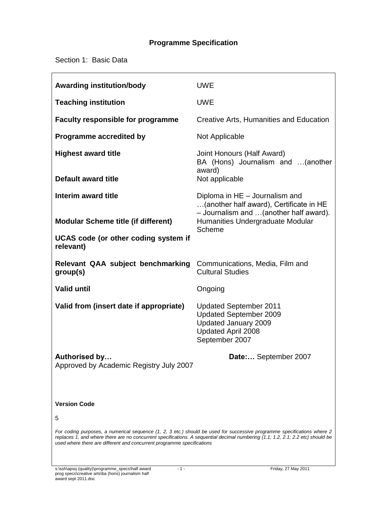# **Programme Specification**

Section 1: Basic Data

| <b>Awarding institution/body</b>                                                                                                                                                                                                                           | <b>UWE</b>                                                                                                                     |  |
|------------------------------------------------------------------------------------------------------------------------------------------------------------------------------------------------------------------------------------------------------------|--------------------------------------------------------------------------------------------------------------------------------|--|
| <b>Teaching institution</b>                                                                                                                                                                                                                                | <b>UWE</b>                                                                                                                     |  |
| <b>Faculty responsible for programme</b>                                                                                                                                                                                                                   | Creative Arts, Humanities and Education                                                                                        |  |
| <b>Programme accredited by</b>                                                                                                                                                                                                                             | Not Applicable                                                                                                                 |  |
| <b>Highest award title</b>                                                                                                                                                                                                                                 | Joint Honours (Half Award)<br>BA (Hons) Journalism and  (another<br>award)<br>Not applicable                                   |  |
| Default award title                                                                                                                                                                                                                                        |                                                                                                                                |  |
| Interim award title                                                                                                                                                                                                                                        | Diploma in HE - Journalism and<br>(another half award), Certificate in HE<br>- Journalism and  (another half award).           |  |
| <b>Modular Scheme title (if different)</b>                                                                                                                                                                                                                 | Humanities Undergraduate Modular<br>Scheme                                                                                     |  |
| UCAS code (or other coding system if<br>relevant)                                                                                                                                                                                                          |                                                                                                                                |  |
| Relevant QAA subject benchmarking<br>group(s)                                                                                                                                                                                                              | Communications, Media, Film and<br><b>Cultural Studies</b>                                                                     |  |
| <b>Valid until</b>                                                                                                                                                                                                                                         | Ongoing                                                                                                                        |  |
| Valid from (insert date if appropriate)                                                                                                                                                                                                                    | <b>Updated September 2011</b><br><b>Updated September 2009</b><br>Updated January 2009<br>Updated April 2008<br>September 2007 |  |
| Authorised by<br>Approved by Academic Registry July 2007                                                                                                                                                                                                   | Date: September 2007                                                                                                           |  |
|                                                                                                                                                                                                                                                            |                                                                                                                                |  |
| <b>Version Code</b>                                                                                                                                                                                                                                        |                                                                                                                                |  |
| 5                                                                                                                                                                                                                                                          |                                                                                                                                |  |
| For coding purposes, a numerical sequence (1, 2, 3 etc.) should be used for successive programme specifications where 2<br>replaces 1, and where there are no concurrent specifications. A sequential decimal numbering (1.1; 1.2, 2.1; 2.2 etc) should be |                                                                                                                                |  |

*used where there are different and concurrent programme specifications*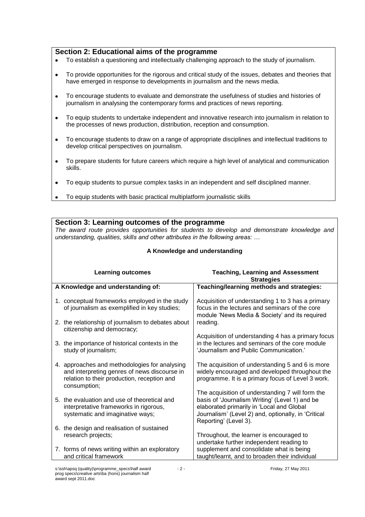## **Section 2: Educational aims of the programme**

- To establish a questioning and intellectually challenging approach to the study of journalism.  $\bullet$
- To provide opportunities for the rigorous and critical study of the issues, debates and theories that  $\bullet$ have emerged in response to developments in journalism and the news media.
- To encourage students to evaluate and demonstrate the usefulness of studies and histories of  $\bullet$ journalism in analysing the contemporary forms and practices of news reporting.
- To equip students to undertake independent and innovative research into journalism in relation to  $\bullet$ the processes of news production, distribution, reception and consumption.
- To encourage students to draw on a range of appropriate disciplines and intellectual traditions to  $\bullet$ develop critical perspectives on journalism.
- To prepare students for future careers which require a high level of analytical and communication  $\bullet$ skills.
- To equip students to pursue complex tasks in an independent and self disciplined manner.  $\bullet$
- To equip students with basic practical multiplatform journalistic skills

### **Section 3: Learning outcomes of the programme**

*The award route provides opportunities for students to develop and demonstrate knowledge and understanding, qualities, skills and other attributes in the following areas: …*

| A Knowledge and understanding |                                                                                                                                                              |                                                                                                                                                                                                                                 |  |
|-------------------------------|--------------------------------------------------------------------------------------------------------------------------------------------------------------|---------------------------------------------------------------------------------------------------------------------------------------------------------------------------------------------------------------------------------|--|
|                               | <b>Learning outcomes</b>                                                                                                                                     | <b>Teaching, Learning and Assessment</b><br><b>Strategies</b>                                                                                                                                                                   |  |
|                               | A Knowledge and understanding of:                                                                                                                            | Teaching/learning methods and strategies:                                                                                                                                                                                       |  |
|                               | 1. conceptual frameworks employed in the study<br>of journalism as exemplified in key studies;                                                               | Acquisition of understanding 1 to 3 has a primary<br>focus in the lectures and seminars of the core<br>module 'News Media & Society' and its required                                                                           |  |
|                               | 2. the relationship of journalism to debates about<br>citizenship and democracy;                                                                             | reading.                                                                                                                                                                                                                        |  |
|                               | 3. the importance of historical contexts in the<br>study of journalism;                                                                                      | Acquisition of understanding 4 has a primary focus<br>in the lectures and seminars of the core module<br>'Journalism and Public Communication.'                                                                                 |  |
|                               | 4. approaches and methodologies for analysing<br>and interpreting genres of news discourse in<br>relation to their production, reception and<br>consumption; | The acquisition of understanding 5 and 6 is more<br>widely encouraged and developed throughout the<br>programme. It is a primary focus of Level 3 work.                                                                         |  |
|                               | 5. the evaluation and use of theoretical and<br>interpretative frameworks in rigorous,<br>systematic and imaginative ways;                                   | The acquisition of understanding 7 will form the<br>basis of 'Journalism Writing' (Level 1) and be<br>elaborated primarily in 'Local and Global<br>Journalism' (Level 2) and, optionally, in 'Critical<br>Reporting' (Level 3). |  |
|                               | 6. the design and realisation of sustained<br>research projects;                                                                                             | Throughout, the learner is encouraged to                                                                                                                                                                                        |  |
|                               | 7. forms of news writing within an exploratory<br>and critical framework                                                                                     | undertake further independent reading to<br>supplement and consolidate what is being<br>taught/learnt, and to broaden their individual                                                                                          |  |

# **A Knowledge and understanding**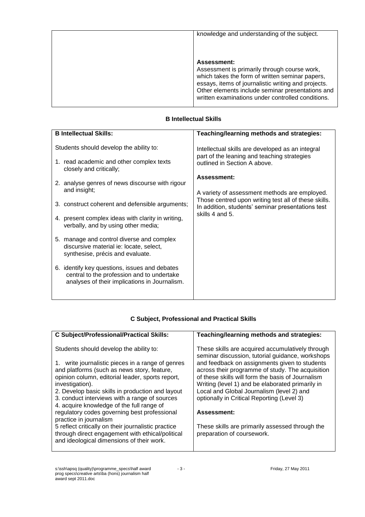| knowledge and understanding of the subject.                                                                                                                                                                                                                                           |
|---------------------------------------------------------------------------------------------------------------------------------------------------------------------------------------------------------------------------------------------------------------------------------------|
| <b>Assessment:</b><br>Assessment is primarily through course work,<br>which takes the form of written seminar papers,<br>essays, items of journalistic writing and projects.<br>Other elements include seminar presentations and<br>written examinations under controlled conditions. |

## **B Intellectual Skills**

| <b>B</b> Intellectual Skills: |                                                                                                                                              | Teaching/learning methods and strategies:                                                                                       |  |
|-------------------------------|----------------------------------------------------------------------------------------------------------------------------------------------|---------------------------------------------------------------------------------------------------------------------------------|--|
|                               | Students should develop the ability to:<br>1. read academic and other complex texts<br>closely and critically;                               | Intellectual skills are developed as an integral<br>part of the leaning and teaching strategies<br>outlined in Section A above. |  |
|                               | 2. analyse genres of news discourse with rigour<br>and insight;                                                                              | Assessment:<br>A variety of assessment methods are employed.<br>Those centred upon writing test all of these skills.            |  |
|                               | 3. construct coherent and defensible arguments;<br>4. present complex ideas with clarity in writing,<br>verbally, and by using other media;  | In addition, students' seminar presentations test<br>skills 4 and 5.                                                            |  |
|                               | 5. manage and control diverse and complex<br>discursive material ie: locate, select,<br>synthesise, précis and evaluate.                     |                                                                                                                                 |  |
|                               | 6. identify key questions, issues and debates<br>central to the profession and to undertake<br>analyses of their implications in Journalism. |                                                                                                                                 |  |

# **C Subject, Professional and Practical Skills**

| <b>C Subject/Professional/Practical Skills:</b>                                                                                                                                                                                                                                                                                                                      | Teaching/learning methods and strategies:                                                                                                                                                                                                                                                                                                                                                                     |  |
|----------------------------------------------------------------------------------------------------------------------------------------------------------------------------------------------------------------------------------------------------------------------------------------------------------------------------------------------------------------------|---------------------------------------------------------------------------------------------------------------------------------------------------------------------------------------------------------------------------------------------------------------------------------------------------------------------------------------------------------------------------------------------------------------|--|
| Students should develop the ability to:<br>1. write journalistic pieces in a range of genres<br>and platforms (such as news story, feature,<br>opinion column, editorial leader, sports report,<br>investigation).<br>2. Develop basic skills in production and layout<br>3. conduct interviews with a range of sources<br>4. acquire knowledge of the full range of | These skills are acquired accumulatively through<br>seminar discussion, tutorial guidance, workshops<br>and feedback on assignments given to students<br>across their programme of study. The acquisition<br>of these skills will form the basis of Journalism<br>Writing (level 1) and be elaborated primarily in<br>Local and Global Journalism (level 2) and<br>optionally in Critical Reporting (Level 3) |  |
| regulatory codes governing best professional                                                                                                                                                                                                                                                                                                                         | Assessment:                                                                                                                                                                                                                                                                                                                                                                                                   |  |
| practice in journalism<br>5 reflect critically on their journalistic practice                                                                                                                                                                                                                                                                                        | These skills are primarily assessed through the                                                                                                                                                                                                                                                                                                                                                               |  |
| through direct engagement with ethical/political<br>and ideological dimensions of their work.                                                                                                                                                                                                                                                                        | preparation of coursework.                                                                                                                                                                                                                                                                                                                                                                                    |  |
|                                                                                                                                                                                                                                                                                                                                                                      |                                                                                                                                                                                                                                                                                                                                                                                                               |  |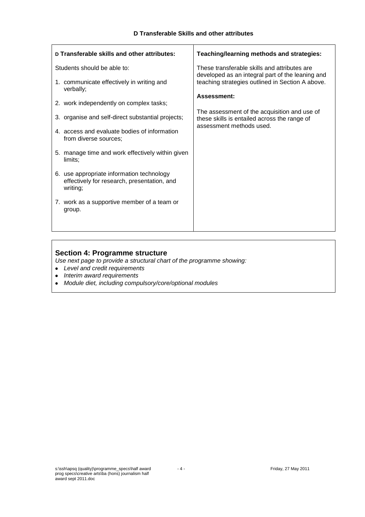| D Transferable skills and other attributes:                                                          | Teaching/learning methods and strategies:                                                        |  |
|------------------------------------------------------------------------------------------------------|--------------------------------------------------------------------------------------------------|--|
| Students should be able to:                                                                          | These transferable skills and attributes are<br>developed as an integral part of the leaning and |  |
| 1. communicate effectively in writing and<br>verbally;                                               | teaching strategies outlined in Section A above.                                                 |  |
|                                                                                                      | <b>Assessment:</b>                                                                               |  |
| 2. work independently on complex tasks;                                                              |                                                                                                  |  |
| 3. organise and self-direct substantial projects;                                                    | The assessment of the acquisition and use of<br>these skills is entailed across the range of     |  |
| 4. access and evaluate bodies of information<br>from diverse sources;                                | assessment methods used.                                                                         |  |
| 5. manage time and work effectively within given<br>limits;                                          |                                                                                                  |  |
| 6. use appropriate information technology<br>effectively for research, presentation, and<br>writing; |                                                                                                  |  |
| 7. work as a supportive member of a team or<br>group.                                                |                                                                                                  |  |
|                                                                                                      |                                                                                                  |  |

# **Section 4: Programme structure**

*Use next page to provide a structural chart of the programme showing:*

- *Level and credit requirements*
- *Interim award requirements*
- $\bullet$ *Module diet, including compulsory/core/optional modules*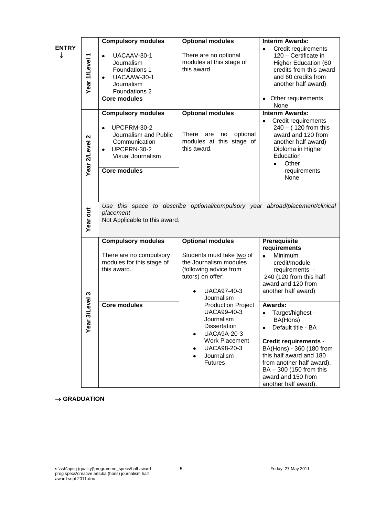| <b>ENTRY</b> |                                           | <b>Compulsory modules</b>                                                                                                                                  | <b>Optional modules</b>                                                                                                                                                                            | <b>Interim Awards:</b>                                                                                                                                                                                                                                            |
|--------------|-------------------------------------------|------------------------------------------------------------------------------------------------------------------------------------------------------------|----------------------------------------------------------------------------------------------------------------------------------------------------------------------------------------------------|-------------------------------------------------------------------------------------------------------------------------------------------------------------------------------------------------------------------------------------------------------------------|
| ↓            | Year 1/Level 1                            | UACAAV-30-1<br>$\bullet$<br>Journalism<br>Foundations 1<br>UACAAW-30-1<br>$\bullet$<br>Journalism<br>Foundations 2<br>Core modules                         | There are no optional<br>modules at this stage of<br>this award.                                                                                                                                   | Credit requirements<br>$\bullet$<br>120 - Certificate in<br>Higher Education (60<br>credits from this award<br>and 60 credits from<br>another half award)<br>Other requirements<br>None                                                                           |
|              | $\boldsymbol{\mathsf{N}}$<br>Year 2/Level | <b>Compulsory modules</b><br>UPCPRM-30-2<br>Journalism and Public<br>Communication<br>UPCPRN-30-2<br>$\bullet$<br>Visual Journalism<br><b>Core modules</b> | <b>Optional modules</b><br>There<br>optional<br>are<br>no<br>modules at this stage of<br>this award.                                                                                               | <b>Interim Awards:</b><br>Credit requirements -<br>240 - (120 from this<br>award and 120 from<br>another half award)<br>Diploma in Higher<br>Education<br>Other<br>$\bullet$<br>requirements<br>None                                                              |
|              | Year out                                  | Use this space to describe optional/compulsory year abroad/placement/clinical<br>placement<br>Not Applicable to this award.                                |                                                                                                                                                                                                    |                                                                                                                                                                                                                                                                   |
|              | ო                                         | <b>Compulsory modules</b><br>There are no compulsory<br>modules for this stage of<br>this award.                                                           | <b>Optional modules</b><br>Students must take two of<br>the Journalism modules<br>(following advice from<br>tutors) on offer:<br><b>UACA97-40-3</b><br>Journalism                                  | Prerequisite<br>requirements<br>Minimum<br>$\bullet$<br>credit/module<br>requirements -<br>240 (120 from this half<br>award and 120 from<br>another half award)                                                                                                   |
|              | evel<br>Year <sub>3</sub> /               | <b>Core modules</b>                                                                                                                                        | <b>Production Project</b><br>UACA99-40-3<br>Journalism<br><b>Dissertation</b><br><b>UACA9A-20-3</b><br>٠<br><b>Work Placement</b><br>UACA98-20-3<br>٠<br>Journalism<br>$\bullet$<br><b>Futures</b> | <b>Awards:</b><br>Target/highest -<br>BA(Hons)<br>Default title - BA<br><b>Credit requirements -</b><br>BA(Hons) - 360 (180 from<br>this half award and 180<br>from another half award).<br>BA - 300 (150 from this<br>award and 150 from<br>another half award). |

#### $\rightarrow$  GRADUATION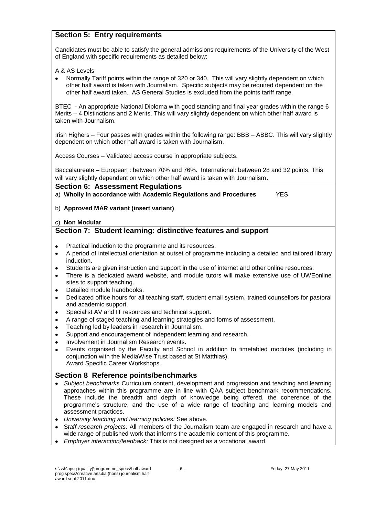# **Section 5: Entry requirements**

Candidates must be able to satisfy the general admissions requirements of the University of the West of England with specific requirements as detailed below:

A & AS Levels

Normally Tariff points within the range of 320 or 340. This will vary slightly dependent on which other half award is taken with Journalism. Specific subjects may be required dependent on the other half award taken. AS General Studies is excluded from the points tariff range.

BTEC - An appropriate National Diploma with good standing and final year grades within the range 6 Merits – 4 Distinctions and 2 Merits. This will vary slightly dependent on which other half award is taken with Journalism.

Irish Highers – Four passes with grades within the following range: BBB – ABBC. This will vary slightly dependent on which other half award is taken with Journalism.

Access Courses – Validated access course in appropriate subjects.

Baccalaureate – European : between 70% and 76%. International: between 28 and 32 points. This will vary slightly dependent on which other half award is taken with Journalism.

#### **Section 6: Assessment Regulations**

a) **Wholly in accordance with Academic Regulations and Procedures** YES

b) **Approved MAR variant (insert variant)**

#### c) **Non Modular**

# **Section 7: Student learning: distinctive features and support**

- Practical induction to the programme and its resources.  $\bullet$
- A period of intellectual orientation at outset of programme including a detailed and tailored library  $\bullet$ induction.
- Students are given instruction and support in the use of internet and other online resources.  $\bullet$
- There is a dedicated award website, and module tutors will make extensive use of UWEonline  $\bullet$ sites to support teaching.
- Detailed module handbooks.  $\bullet$
- Dedicated office hours for all teaching staff, student email system, trained counsellors for pastoral  $\bullet$ and academic support.
- Specialist AV and IT resources and technical support.  $\bullet$
- A range of staged teaching and learning strategies and forms of assessment.  $\bullet$
- $\bullet$ Teaching led by leaders in research in Journalism.
- Support and encouragement of independent learning and research.  $\bullet$
- Involvement in Journalism Research events.  $\bullet$
- Events organised by the Faculty and School in addition to timetabled modules (including in conjunction with the MediaWise Trust based at St Matthias). Award Specific Career Workshops.

# **Section 8 Reference points/benchmarks**

- *Subject benchmarks* Curriculum content, development and progression and teaching and learning approaches within this programme are in line with QAA subject benchmark recommendations. These include the breadth and depth of knowledge being offered, the coherence of the programme's structure, and the use of a wide range of teaching and learning models and assessment practices.
- *University teaching and learning policies:* See above.
- S*taff research projects:* All members of the Journalism team are engaged in research and have a wide range of published work that informs the academic content of this programme.
- *Employer interaction/feedback:* This is not designed as a vocational award.